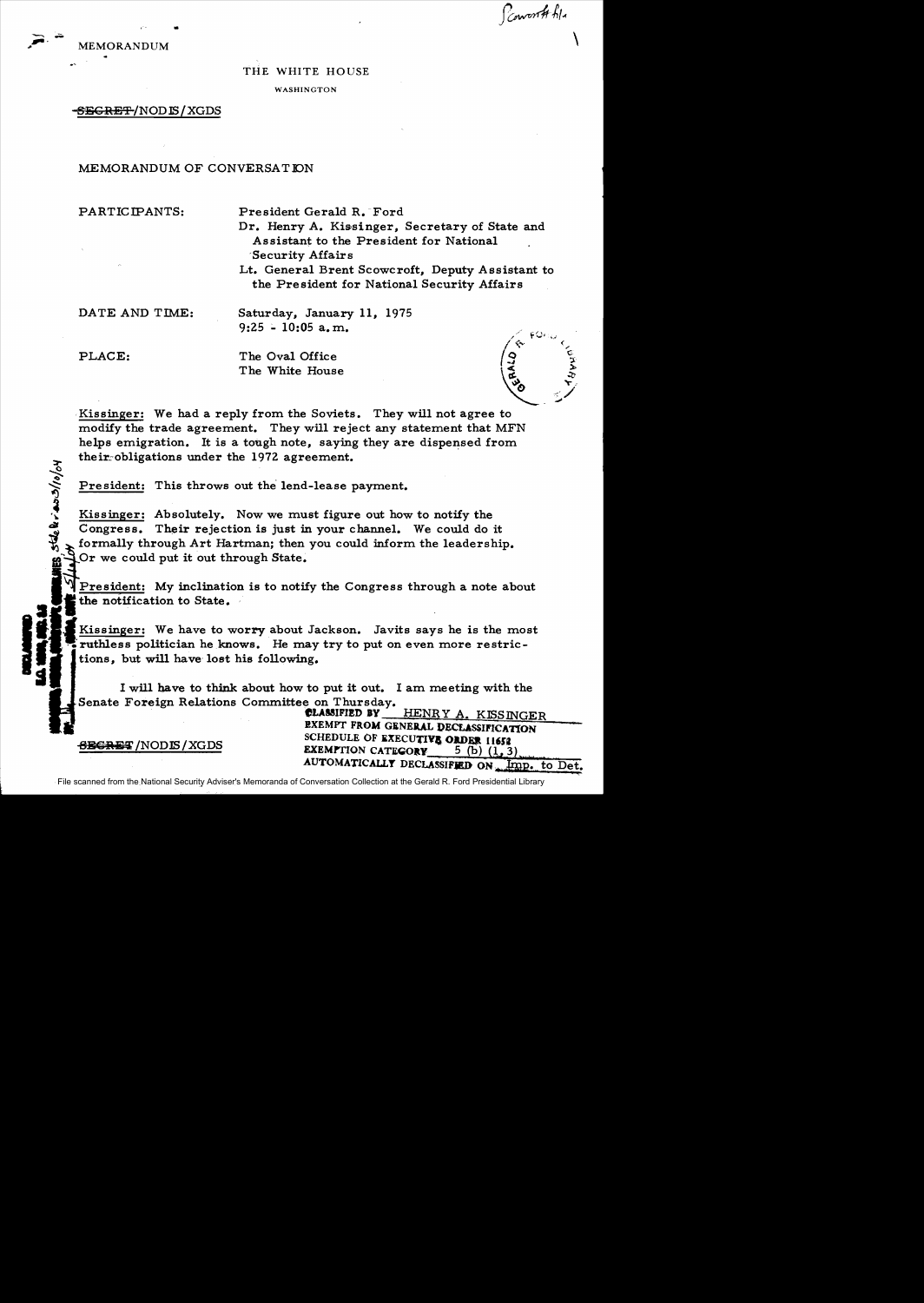Powerth file



## THE WHITE HOUSE

**WASHINGTON** 

## <del>SEGRET</del>/NOD IS/XGDS

MEMORANDUM OF CONVERSATION

PARTICIPANTS:

President Gerald R. Ford

Dr. Henrv A. Kissinger, Secretary of State and Assistant to the President for National Security Affairs

Lt. General Brent Scowcroft, Deputy Assistant to the President for National Security Affairs

DATE AND TIME:

Saturday. January 11. 1975  $9:25 - 10:05$  a.m.

PLACE:

stelerass/10/04

The Oval Office The White House

Kissinger: We had a reply from the Soviets. They will not agree to modify the trade agreement. They will reject any statement that MFN helps emigration. It is a tough note, saving they are dispensed from their obligations under the 1972 agreement.

President: This throws out the lend-lease payment.

Kissinger: Absolutely. Now we must figure out how to notify the Congress. Their rejection is just in your channel. We could do it formally through Art Hartman; then you could inform the leadership. Or we could put it out through State.

President: My inclination is to notify the Congress through a note about the notification to State.

Kissinger: We have to worry about Jackson. Javits says he is the most ruthless politician he knows. He may try to put on even more restrictions, but will have lost his following.

I will have to think about how to put it out. I am meeting with the Senate Foreign Relations Committee on Thursday.

> **CLASSIFIED BY** HENRY A. KISSINGER **EXEMPT FROM GENERAL DECLASSIFICATION** SCHEDULE OF EXECUTIVE ORDER 11652 **EXEMPTION CATEGORY** 5 (b)  $(1, 3)$ AUTOMATICALLY DECLASSIFIED ON Imp. to Det.

<del>SECRE</del>T/NODIS/XGDS

File scanned from the National Security Adviser's Memoranda of Conversation Collection at the Gerald R. Ford Presidential Library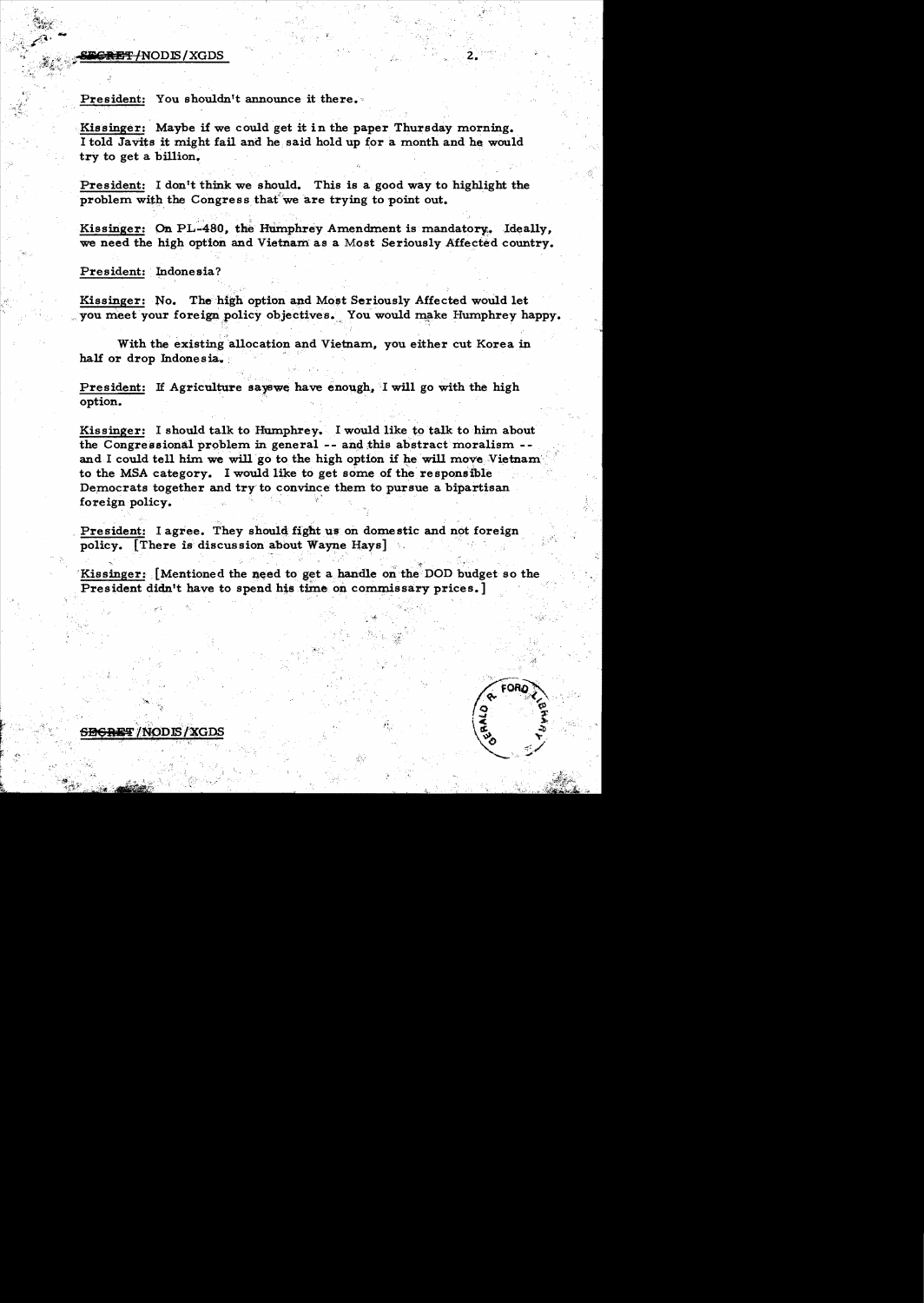## '~~:i ;,/~.)... , ;; ~:~\_eBlI!'FlNODlS/XGDS z. :

'"

President: You shouldn't announce it there.

Kissinger: Maybe if we could get it in the paper Thursday morning. I told Javits it might fail and he. said hold up for a month and he would try to get a billion.

President: I don't think we should. This is a good way to highlight the problem with the Congress that we are trying to point out.

Kissinger: On PL-480, the Humphrey Amendment is mandatory. Ideally, we need the high option and Vietnam as a Most Seriously Affected country.

## President: Indonesia?

Kissinger: No. The high option and Most Seriously Affected would let you meet your foreign policy objectives. You would make Humphrey happy.

With the existing allocation and Vietnam, you either cut Korea in half or drop Indonesia.

President: If Agriculture sayswe have enough, I will go with the high option.

Kissinger: I should talk to Humphrey. I would like to talk to him about the Congressional problem in general -- and this abstract moralism -and I could tell him we will go to the high option if he will move Vietnam to the MSA category. I would like to get some of the responsible Democrats together and try to convince them to pursue a bipartisan foreign policy.

President: I agree. They should fight us on domestic and not foreign policy. [There is discussion about Wayne Hays] .

, 남자 - 그리스 - 화도 - 그는 아이에 공원 사람 - 카이 27. 그는

Kissinger: [Mentioned the need to get a handle on the DOD budget so the President didn't have to spend his time on commissary prices.]

',' .

r ".'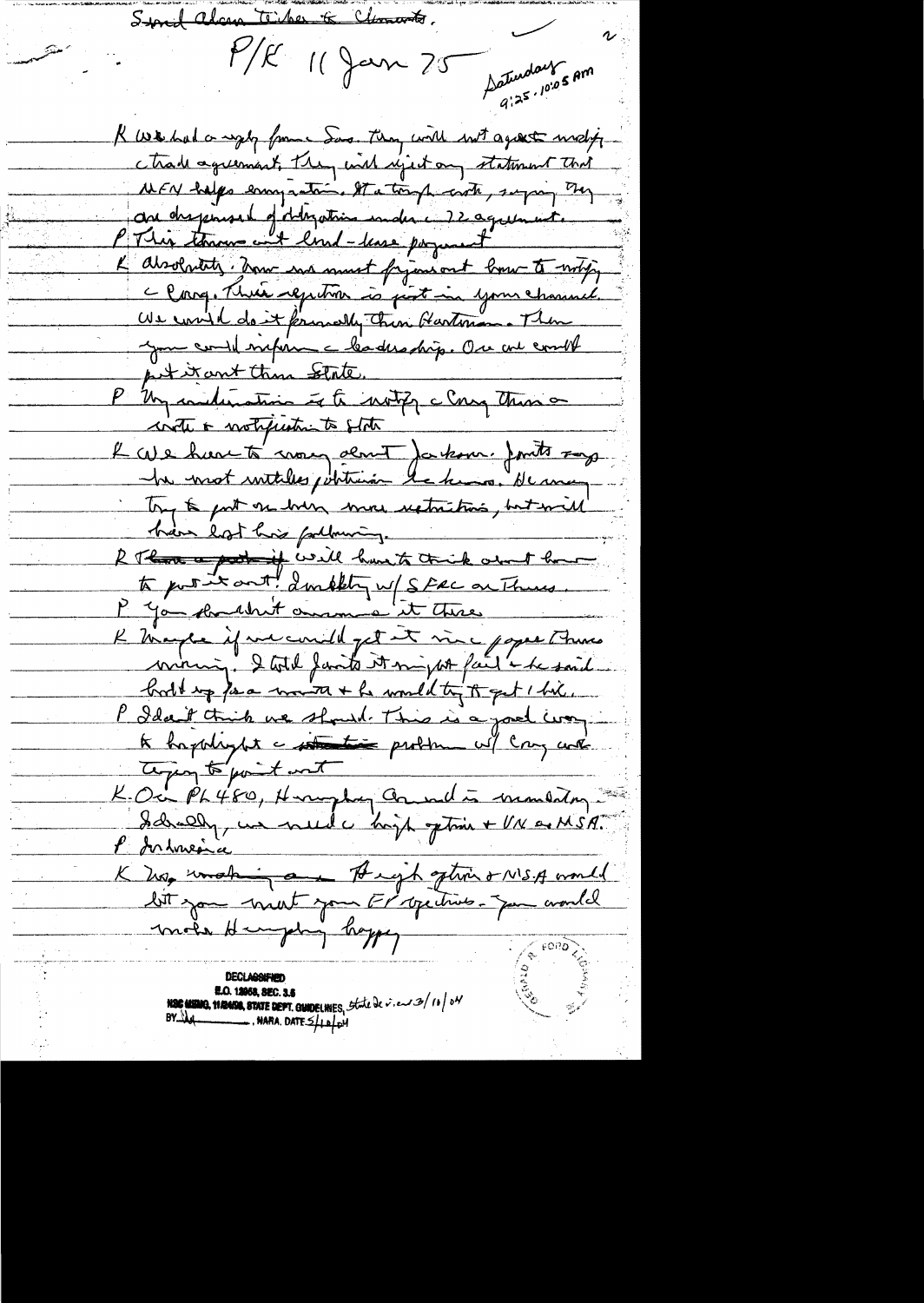Stored along Ticker & Chancerto.  $P/R$  11 Jan 75 Saturday 5 Am R we had a way from Sas. They will not agreat withy ctrade agreement, they wish reject any statement that WEN halps enough the tough with, super They au disponse de déligation under Megalement. K absolutety, how we must frijaniout low to writing Clore, Thrée registron is just in your channel. Us could do it formally then Gartenana Then you could superince bades ship. One are coult pet it ant thin state. P Un indication of to write clay these inte a motification to state L'ave have to mon dent ja kom. Juits roy Try to put on born more restrictions, but will hair lost his following. R Than a pot if well have to think about how to put it ant! ambity w/ Stac on Thurs. K Marger if we could get it vive poper This miring. I total faits it might fail i he said book up far words + he would try to get 1 him. P Idan't think we should This is a joel way te happlight a station problem will cray with tegen to point met K. Oc PL 480, Herughy Council is mondatory Idrelly, un need ce hoppe ption + VN as MSA. l'Interse K hop working and Augh option & NISA would bit jou mont jour Frigidrich Jum availed mote Hungering hoppy **E.O. 12058, SEC. 3.5**